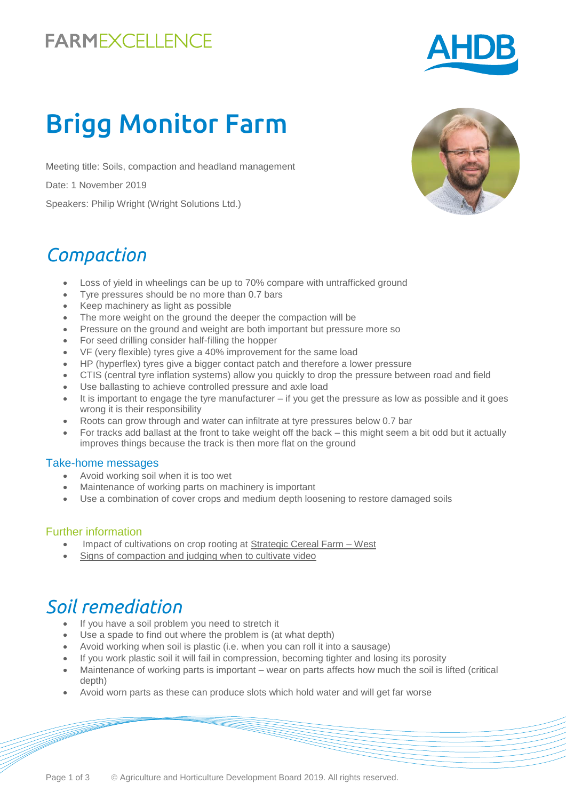# **FARMEXCELLENCE**



# Brigg Monitor Farm

Meeting title: Soils, compaction and headland management

Date: 1 November 2019

Speakers: Philip Wright (Wright Solutions Ltd.)

### *Compaction*

- Loss of yield in wheelings can be up to 70% compare with untrafficked ground
- Tyre pressures should be no more than 0.7 bars
- Keep machinery as light as possible
- The more weight on the ground the deeper the compaction will be
- Pressure on the ground and weight are both important but pressure more so
- For seed drilling consider half-filling the hopper
- VF (very flexible) tyres give a 40% improvement for the same load
- HP (hyperflex) tyres give a bigger contact patch and therefore a lower pressure
- CTIS (central tyre inflation systems) allow you quickly to drop the pressure between road and field
- Use ballasting to achieve controlled pressure and axle load
- It is important to engage the tyre manufacturer if you get the pressure as low as possible and it goes wrong it is their responsibility
- Roots can grow through and water can infiltrate at tyre pressures below 0.7 bar
- For tracks add ballast at the front to take weight off the back this might seem a bit odd but it actually improves things because the track is then more flat on the ground

#### Take-home messages

- Avoid working soil when it is too wet
- Maintenance of working parts on machinery is important
- Use a combination of cover crops and medium depth loosening to restore damaged soils

#### Further information

- Impact of cultivations on crop rooting at Strategic Cereal Farm West
- [Signs of compaction and judging when to cultivate video](https://www.youtube.com/watch?v=Q2rD7Ny77wE&list=PLN17t0oDGVwVPnYVbZz34D3EEh7xH2JFB&index=5)

### *Soil remediation*

- If you have a soil problem you need to stretch it
- Use a spade to find out where the problem is (at what depth)
- Avoid working when soil is plastic (i.e. when you can roll it into a sausage)
- If you work plastic soil it will fail in compression, becoming tighter and losing its porosity
- Maintenance of working parts is important wear on parts affects how much the soil is lifted (critical depth)
- Avoid worn parts as these can produce slots which hold water and will get far worse

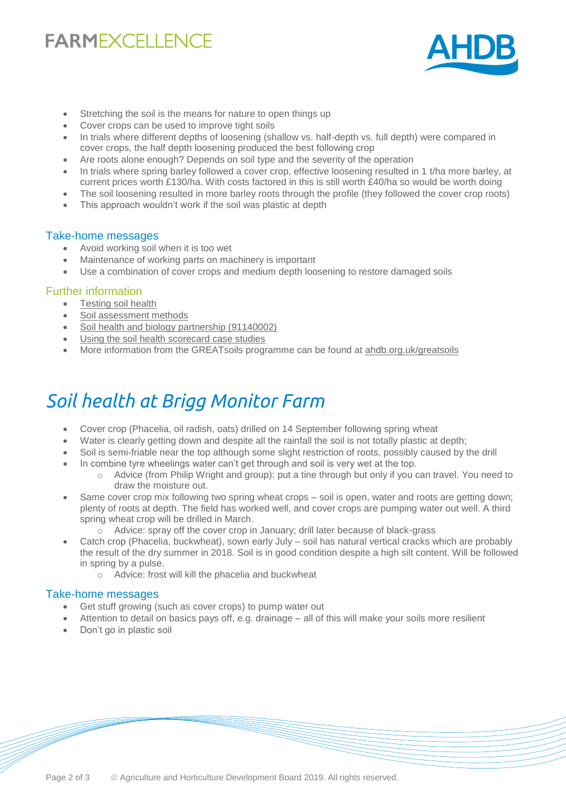# **FARMEXCELLENCE**



- Stretching the soil is the means for nature to open things up
- Cover crops can be used to improve tight soils
- In trials where different depths of loosening (shallow vs. half-depth vs. full depth) were compared in cover crops, the half depth loosening produced the best following crop
- Are roots alone enough? Depends on soil type and the severity of the operation
- In trials where spring barley followed a cover crop, effective loosening resulted in 1 t/ha more barley, at current prices worth £130/ha. With costs factored in this is still worth £40/ha so would be worth doing
- The soil loosening resulted in more barley roots through the profile (they followed the cover crop roots)
- This approach wouldn't work if the soil was plastic at depth

#### Take-home messages

- Avoid working soil when it is too wet
- Maintenance of working parts on machinery is important
- Use a combination of cover crops and medium depth loosening to restore damaged soils

#### Further information

- [Testing soil health](https://ahdb.org.uk/knowledge-library/testing-soil-health)
- [Soil assessment methods](https://ahdb.org.uk/knowledge-library/greatsoils-soil-assessment-methods)
- [Soil health and biology partnership \(91140002\)](https://cereals.ahdb.org.uk/shp)
- [Using the soil health scorecard case studies](https://ahdb.org.uk/knowledge-library/testing-the-soil-health-scorecard)
- More information from the GREATsoils programme can be found at [ahdb.org.uk/greatsoils](https://ahdb.org.uk/greatsoils)

## *Soil health at Brigg Monitor Farm*

- Cover crop (Phacelia, oil radish, oats) drilled on 14 September following spring wheat
- Water is clearly getting down and despite all the rainfall the soil is not totally plastic at depth;
- Soil is semi-friable near the top although some slight restriction of roots, possibly caused by the drill
	- In combine tyre wheelings water can't get through and soil is very wet at the top.
		- o Advice (from Philip Wright and group): put a tine through but only if you can travel. You need to draw the moisture out.
- Same cover crop mix following two spring wheat crops soil is open, water and roots are getting down; plenty of roots at depth. The field has worked well, and cover crops are pumping water out well. A third spring wheat crop will be drilled in March.
	- o Advice: spray off the cover crop in January; drill later because of black-grass
- Catch crop (Phacelia, buckwheat), sown early July soil has natural vertical cracks which are probably the result of the dry summer in 2018. Soil is in good condition despite a high silt content. Will be followed in spring by a pulse.
	- o Advice: frost will kill the phacelia and buckwheat

#### Take-home messages

- Get stuff growing (such as cover crops) to pump water out
- Attention to detail on basics pays off, e.g. drainage all of this will make your soils more resilient
- Don't go in plastic soil